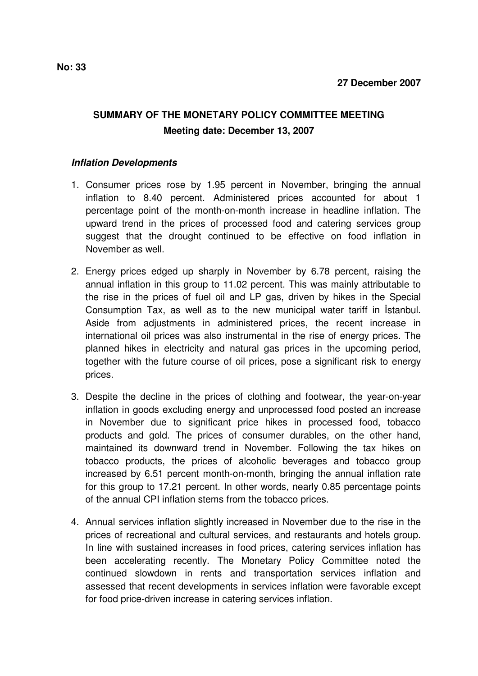## **SUMMARY OF THE MONETARY POLICY COMMITTEE MEETING Meeting date: December 13, 2007**

## **Inflation Developments**

- 1. Consumer prices rose by 1.95 percent in November, bringing the annual inflation to 8.40 percent. Administered prices accounted for about 1 percentage point of the month-on-month increase in headline inflation. The upward trend in the prices of processed food and catering services group suggest that the drought continued to be effective on food inflation in November as well.
- 2. Energy prices edged up sharply in November by 6.78 percent, raising the annual inflation in this group to 11.02 percent. This was mainly attributable to the rise in the prices of fuel oil and LP gas, driven by hikes in the Special Consumption Tax, as well as to the new municipal water tariff in İstanbul. Aside from adjustments in administered prices, the recent increase in international oil prices was also instrumental in the rise of energy prices. The planned hikes in electricity and natural gas prices in the upcoming period, together with the future course of oil prices, pose a significant risk to energy prices.
- 3. Despite the decline in the prices of clothing and footwear, the year-on-year inflation in goods excluding energy and unprocessed food posted an increase in November due to significant price hikes in processed food, tobacco products and gold. The prices of consumer durables, on the other hand, maintained its downward trend in November. Following the tax hikes on tobacco products, the prices of alcoholic beverages and tobacco group increased by 6.51 percent month-on-month, bringing the annual inflation rate for this group to 17.21 percent. In other words, nearly 0.85 percentage points of the annual CPI inflation stems from the tobacco prices.
- 4. Annual services inflation slightly increased in November due to the rise in the prices of recreational and cultural services, and restaurants and hotels group. In line with sustained increases in food prices, catering services inflation has been accelerating recently. The Monetary Policy Committee noted the continued slowdown in rents and transportation services inflation and assessed that recent developments in services inflation were favorable except for food price-driven increase in catering services inflation.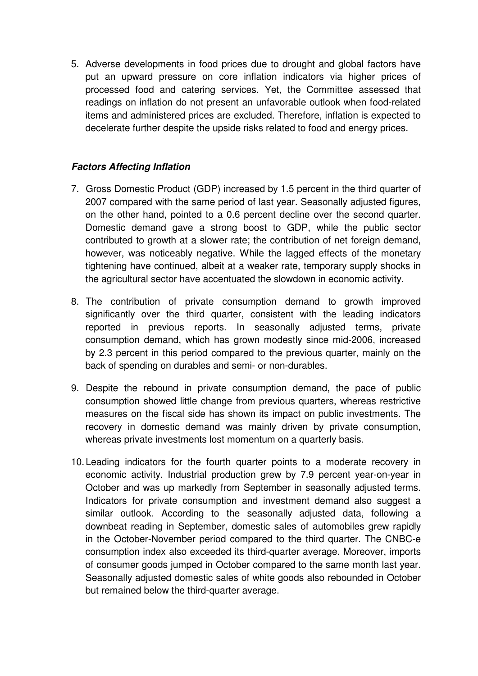5. Adverse developments in food prices due to drought and global factors have put an upward pressure on core inflation indicators via higher prices of processed food and catering services. Yet, the Committee assessed that readings on inflation do not present an unfavorable outlook when food-related items and administered prices are excluded. Therefore, inflation is expected to decelerate further despite the upside risks related to food and energy prices.

## **Factors Affecting Inflation**

- 7. Gross Domestic Product (GDP) increased by 1.5 percent in the third quarter of 2007 compared with the same period of last year. Seasonally adjusted figures, on the other hand, pointed to a 0.6 percent decline over the second quarter. Domestic demand gave a strong boost to GDP, while the public sector contributed to growth at a slower rate; the contribution of net foreign demand, however, was noticeably negative. While the lagged effects of the monetary tightening have continued, albeit at a weaker rate, temporary supply shocks in the agricultural sector have accentuated the slowdown in economic activity.
- 8. The contribution of private consumption demand to growth improved significantly over the third quarter, consistent with the leading indicators reported in previous reports. In seasonally adjusted terms, private consumption demand, which has grown modestly since mid-2006, increased by 2.3 percent in this period compared to the previous quarter, mainly on the back of spending on durables and semi- or non-durables.
- 9. Despite the rebound in private consumption demand, the pace of public consumption showed little change from previous quarters, whereas restrictive measures on the fiscal side has shown its impact on public investments. The recovery in domestic demand was mainly driven by private consumption, whereas private investments lost momentum on a quarterly basis.
- 10. Leading indicators for the fourth quarter points to a moderate recovery in economic activity. Industrial production grew by 7.9 percent year-on-year in October and was up markedly from September in seasonally adjusted terms. Indicators for private consumption and investment demand also suggest a similar outlook. According to the seasonally adjusted data, following a downbeat reading in September, domestic sales of automobiles grew rapidly in the October-November period compared to the third quarter. The CNBC-e consumption index also exceeded its third-quarter average. Moreover, imports of consumer goods jumped in October compared to the same month last year. Seasonally adjusted domestic sales of white goods also rebounded in October but remained below the third-quarter average.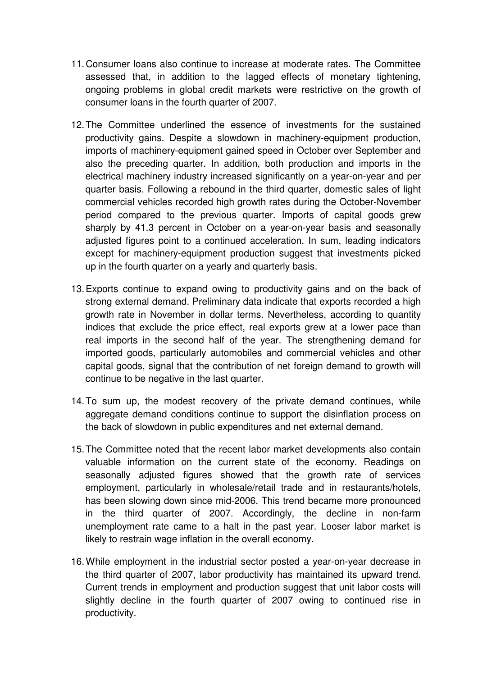- 11. Consumer loans also continue to increase at moderate rates. The Committee assessed that, in addition to the lagged effects of monetary tightening, ongoing problems in global credit markets were restrictive on the growth of consumer loans in the fourth quarter of 2007.
- 12. The Committee underlined the essence of investments for the sustained productivity gains. Despite a slowdown in machinery-equipment production, imports of machinery-equipment gained speed in October over September and also the preceding quarter. In addition, both production and imports in the electrical machinery industry increased significantly on a year-on-year and per quarter basis. Following a rebound in the third quarter, domestic sales of light commercial vehicles recorded high growth rates during the October-November period compared to the previous quarter. Imports of capital goods grew sharply by 41.3 percent in October on a year-on-year basis and seasonally adjusted figures point to a continued acceleration. In sum, leading indicators except for machinery-equipment production suggest that investments picked up in the fourth quarter on a yearly and quarterly basis.
- 13. Exports continue to expand owing to productivity gains and on the back of strong external demand. Preliminary data indicate that exports recorded a high growth rate in November in dollar terms. Nevertheless, according to quantity indices that exclude the price effect, real exports grew at a lower pace than real imports in the second half of the year. The strengthening demand for imported goods, particularly automobiles and commercial vehicles and other capital goods, signal that the contribution of net foreign demand to growth will continue to be negative in the last quarter.
- 14. To sum up, the modest recovery of the private demand continues, while aggregate demand conditions continue to support the disinflation process on the back of slowdown in public expenditures and net external demand.
- 15. The Committee noted that the recent labor market developments also contain valuable information on the current state of the economy. Readings on seasonally adjusted figures showed that the growth rate of services employment, particularly in wholesale/retail trade and in restaurants/hotels, has been slowing down since mid-2006. This trend became more pronounced in the third quarter of 2007. Accordingly, the decline in non-farm unemployment rate came to a halt in the past year. Looser labor market is likely to restrain wage inflation in the overall economy.
- 16. While employment in the industrial sector posted a year-on-year decrease in the third quarter of 2007, labor productivity has maintained its upward trend. Current trends in employment and production suggest that unit labor costs will slightly decline in the fourth quarter of 2007 owing to continued rise in productivity.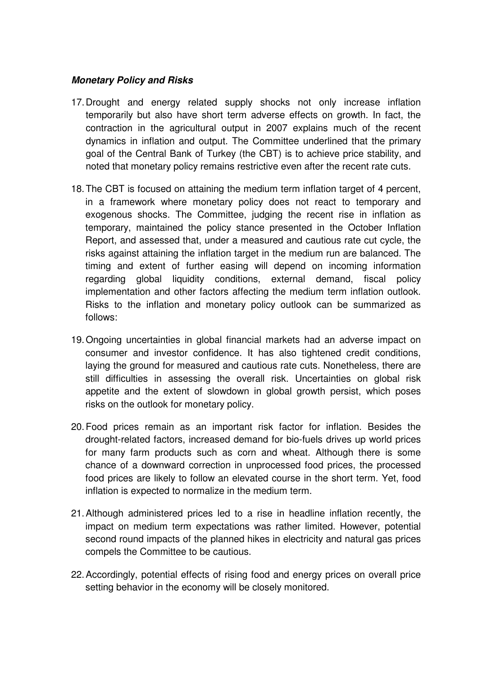## **Monetary Policy and Risks**

- 17. Drought and energy related supply shocks not only increase inflation temporarily but also have short term adverse effects on growth. In fact, the contraction in the agricultural output in 2007 explains much of the recent dynamics in inflation and output. The Committee underlined that the primary goal of the Central Bank of Turkey (the CBT) is to achieve price stability, and noted that monetary policy remains restrictive even after the recent rate cuts.
- 18. The CBT is focused on attaining the medium term inflation target of 4 percent, in a framework where monetary policy does not react to temporary and exogenous shocks. The Committee, judging the recent rise in inflation as temporary, maintained the policy stance presented in the October Inflation Report, and assessed that, under a measured and cautious rate cut cycle, the risks against attaining the inflation target in the medium run are balanced. The timing and extent of further easing will depend on incoming information regarding global liquidity conditions, external demand, fiscal policy implementation and other factors affecting the medium term inflation outlook. Risks to the inflation and monetary policy outlook can be summarized as follows:
- 19. Ongoing uncertainties in global financial markets had an adverse impact on consumer and investor confidence. It has also tightened credit conditions, laying the ground for measured and cautious rate cuts. Nonetheless, there are still difficulties in assessing the overall risk. Uncertainties on global risk appetite and the extent of slowdown in global growth persist, which poses risks on the outlook for monetary policy.
- 20. Food prices remain as an important risk factor for inflation. Besides the drought-related factors, increased demand for bio-fuels drives up world prices for many farm products such as corn and wheat. Although there is some chance of a downward correction in unprocessed food prices, the processed food prices are likely to follow an elevated course in the short term. Yet, food inflation is expected to normalize in the medium term.
- 21. Although administered prices led to a rise in headline inflation recently, the impact on medium term expectations was rather limited. However, potential second round impacts of the planned hikes in electricity and natural gas prices compels the Committee to be cautious.
- 22. Accordingly, potential effects of rising food and energy prices on overall price setting behavior in the economy will be closely monitored.